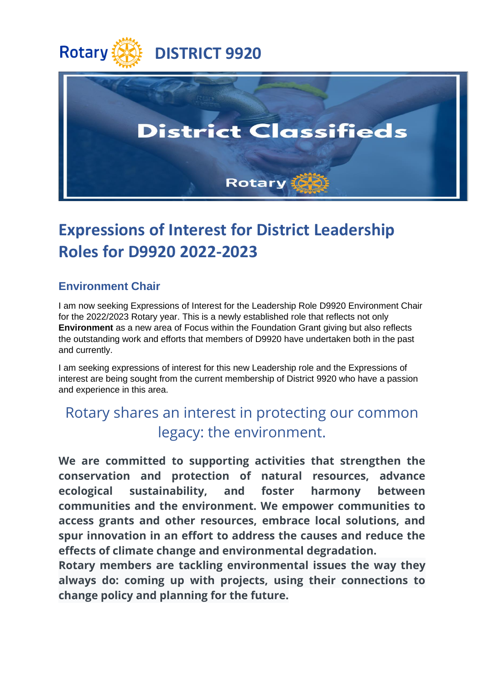



## **Expressions of Interest for District Leadership Roles for D9920 2022-2023**

## **Environment Chair**

I am now seeking Expressions of Interest for the Leadership Role D9920 Environment Chair for the 2022/2023 Rotary year. This is a newly established role that reflects not only **Environment** as a new area of Focus within the Foundation Grant giving but also reflects the outstanding work and efforts that members of D9920 have undertaken both in the past and currently.

I am seeking expressions of interest for this new Leadership role and the Expressions of interest are being sought from the current membership of District 9920 who have a passion and experience in this area.

## Rotary shares an interest in protecting our common legacy: the environment.

**We are committed to supporting activities that strengthen the conservation and protection of natural resources, advance ecological sustainability, and foster harmony between communities and the environment. We empower communities to access grants and other resources, embrace local solutions, and spur innovation in an effort to address the causes and reduce the effects of climate change and environmental degradation.**

**Rotary members are tackling environmental issues the way they always do: coming up with projects, using their connections to change policy and planning for the future.**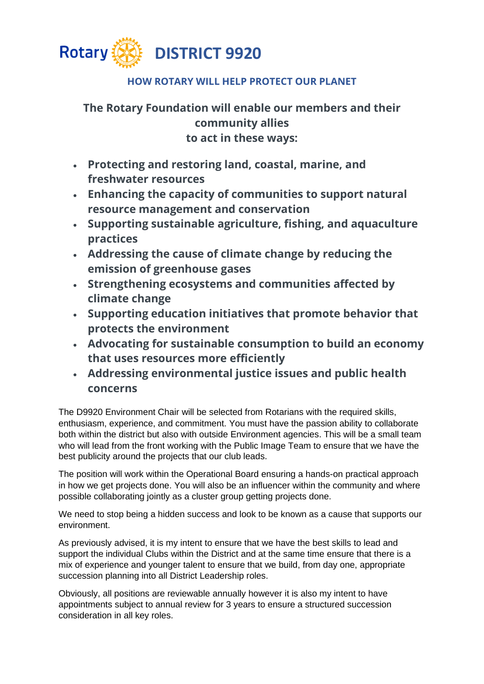

## **HOW ROTARY WILL HELP PROTECT OUR PLANET**

**The Rotary Foundation will enable our members and their community allies to act in these ways:**

- **Protecting and restoring land, coastal, marine, and freshwater resources**
- **Enhancing the capacity of communities to support natural resource management and conservation**
- **Supporting sustainable agriculture, fishing, and aquaculture practices**
- **Addressing the cause of climate change by reducing the emission of greenhouse gases**
- **Strengthening ecosystems and communities affected by climate change**
- **Supporting education initiatives that promote behavior that protects the environment**
- **Advocating for sustainable consumption to build an economy that uses resources more efficiently**
- **Addressing environmental justice issues and public health concerns**

The D9920 Environment Chair will be selected from Rotarians with the required skills, enthusiasm, experience, and commitment. You must have the passion ability to collaborate both within the district but also with outside Environment agencies. This will be a small team who will lead from the front working with the Public Image Team to ensure that we have the best publicity around the projects that our club leads.

The position will work within the Operational Board ensuring a hands-on practical approach in how we get projects done. You will also be an influencer within the community and where possible collaborating jointly as a cluster group getting projects done.

We need to stop being a hidden success and look to be known as a cause that supports our environment.

As previously advised, it is my intent to ensure that we have the best skills to lead and support the individual Clubs within the District and at the same time ensure that there is a mix of experience and younger talent to ensure that we build, from day one, appropriate succession planning into all District Leadership roles.

Obviously, all positions are reviewable annually however it is also my intent to have appointments subject to annual review for 3 years to ensure a structured succession consideration in all key roles.